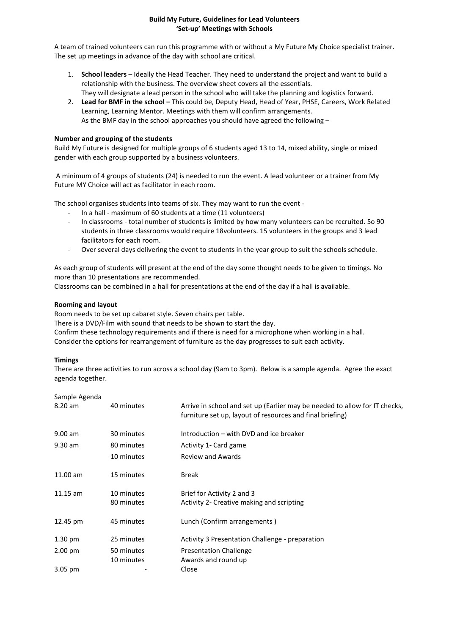## **Build My Future, Guidelines for Lead Volunteers 'Set-up' Meetings with Schools**

A team of trained volunteers can run this programme with or without a My Future My Choice specialist trainer. The set up meetings in advance of the day with school are critical.

- 1. **School leaders** Ideally the Head Teacher. They need to understand the project and want to build a relationship with the business. The overview sheet covers all the essentials. They will designate a lead person in the school who will take the planning and logistics forward.
- 2. **Lead for BMF in the school –** This could be, Deputy Head, Head of Year, PHSE, Careers, Work Related Learning, Learning Mentor. Meetings with them will confirm arrangements. As the BMF day in the school approaches you should have agreed the following –

# **Number and grouping of the students**

Build My Future is designed for multiple groups of 6 students aged 13 to 14, mixed ability, single or mixed gender with each group supported by a business volunteers.

A minimum of 4 groups of students (24) is needed to run the event. A lead volunteer or a trainer from My Future MY Choice will act as facilitator in each room.

The school organises students into teams of six. They may want to run the event -

- In a hall maximum of 60 students at a time (11 volunteers)
- In classrooms total number of students is limited by how many volunteers can be recruited. So 90 students in three classrooms would require 18volunteers. 15 volunteers in the groups and 3 lead facilitators for each room.
- Over several days delivering the event to students in the year group to suit the schools schedule.

As each group of students will present at the end of the day some thought needs to be given to timings. No more than 10 presentations are recommended.

Classrooms can be combined in a hall for presentations at the end of the day if a hall is available.

# **Rooming and layout**

Room needs to be set up cabaret style. Seven chairs per table.

There is a DVD/Film with sound that needs to be shown to start the day.

Confirm these technology requirements and if there is need for a microphone when working in a hall. Consider the options for rearrangement of furniture as the day progresses to suit each activity.

## **Timings**

There are three activities to run across a school day (9am to 3pm). Below is a sample agenda. Agree the exact agenda together.

| Sample Agenda     |                          |                                                                                                                                         |
|-------------------|--------------------------|-----------------------------------------------------------------------------------------------------------------------------------------|
| 8.20 am           | 40 minutes               | Arrive in school and set up (Earlier may be needed to allow for IT checks,<br>furniture set up, layout of resources and final briefing) |
| $9.00$ am         | 30 minutes               | Introduction – with DVD and ice breaker                                                                                                 |
| $9.30$ am         | 80 minutes               | Activity 1- Card game                                                                                                                   |
|                   | 10 minutes               | <b>Review and Awards</b>                                                                                                                |
| $11.00$ am        | 15 minutes               | <b>Break</b>                                                                                                                            |
| $11.15$ am        | 10 minutes               | Brief for Activity 2 and 3                                                                                                              |
|                   | 80 minutes               | Activity 2- Creative making and scripting                                                                                               |
| 12.45 pm          | 45 minutes               | Lunch (Confirm arrangements)                                                                                                            |
| $1.30 \text{ pm}$ | 25 minutes               | Activity 3 Presentation Challenge - preparation                                                                                         |
| $2.00 \text{ pm}$ | 50 minutes<br>10 minutes | <b>Presentation Challenge</b><br>Awards and round up                                                                                    |
| $3.05 \text{ pm}$ |                          | Close                                                                                                                                   |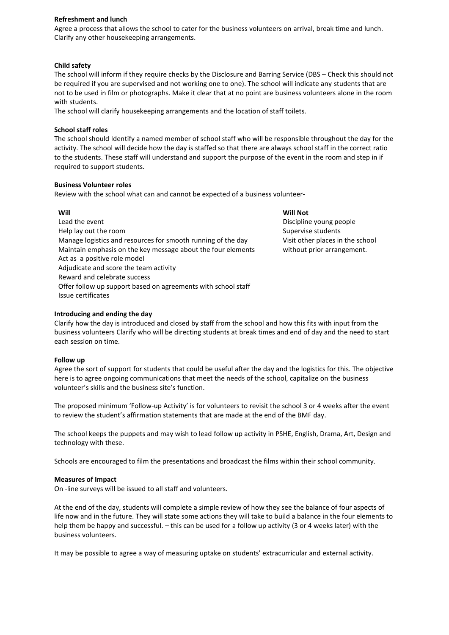#### **Refreshment and lunch**

Agree a process that allows the school to cater for the business volunteers on arrival, break time and lunch. Clarify any other housekeeping arrangements.

#### **Child safety**

The school will inform if they require checks by the Disclosure and Barring Service (DBS – Check this should not be required if you are supervised and not working one to one). The school will indicate any students that are not to be used in film or photographs. Make it clear that at no point are business volunteers alone in the room with students.

The school will clarify housekeeping arrangements and the location of staff toilets.

#### **School staff roles**

The school should Identify a named member of school staff who will be responsible throughout the day for the activity. The school will decide how the day is staffed so that there are always school staff in the correct ratio to the students. These staff will understand and support the purpose of the event in the room and step in if required to support students.

#### **Business Volunteer roles**

Review with the school what can and cannot be expected of a business volunteer-

## **Will**

Lead the event Help lay out the room Manage logistics and resources for smooth running of the day Maintain emphasis on the key message about the four elements Act as a positive role model Adjudicate and score the team activity Reward and celebrate success Offer follow up support based on agreements with school staff Issue certificates

# **Will Not**

Discipline young people Supervise students Visit other places in the school without prior arrangement.

## **Introducing and ending the day**

Clarify how the day is introduced and closed by staff from the school and how this fits with input from the business volunteers Clarify who will be directing students at break times and end of day and the need to start each session on time.

## **Follow up**

Agree the sort of support for students that could be useful after the day and the logistics for this. The objective here is to agree ongoing communications that meet the needs of the school, capitalize on the business volunteer's skills and the business site's function.

The proposed minimum 'Follow-up Activity' is for volunteers to revisit the school 3 or 4 weeks after the event to review the student's affirmation statements that are made at the end of the BMF day.

The school keeps the puppets and may wish to lead follow up activity in PSHE, English, Drama, Art, Design and technology with these.

Schools are encouraged to film the presentations and broadcast the films within their school community.

## **Measures of Impact**

On -line surveys will be issued to all staff and volunteers.

At the end of the day, students will complete a simple review of how they see the balance of four aspects of life now and in the future. They will state some actions they will take to build a balance in the four elements to help them be happy and successful. – this can be used for a follow up activity (3 or 4 weeks later) with the business volunteers.

It may be possible to agree a way of measuring uptake on students' extracurricular and external activity.